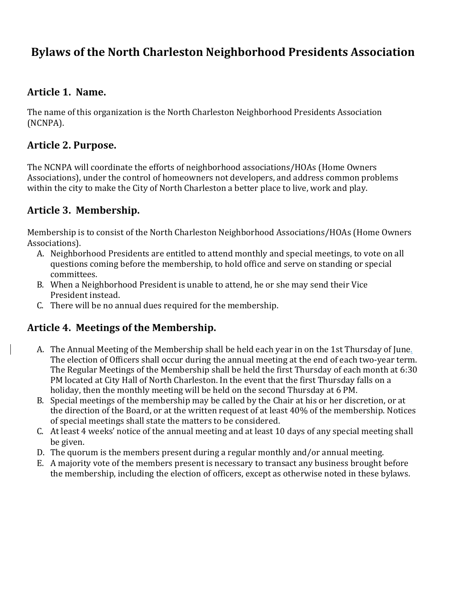# **Bylaws of the North Charleston Neighborhood Presidents Association**

#### **Article 1. Name.**

The name of this organization is the North Charleston Neighborhood Presidents Association (NCNPA). 

#### **Article 2. Purpose.**

The NCNPA will coordinate the efforts of neighborhood associations/HOAs (Home Owners Associations), under the control of homeowners not developers, and address common problems within the city to make the City of North Charleston a better place to live, work and play.

#### **Article 3. Membership.**

Membership is to consist of the North Charleston Neighborhood Associations/HOAs (Home Owners Associations).

- A. Neighborhood Presidents are entitled to attend monthly and special meetings, to vote on all questions coming before the membership, to hold office and serve on standing or special committees.
- B. When a Neighborhood President is unable to attend, he or she may send their Vice President instead.
- C. There will be no annual dues required for the membership.

#### **Article 4. Meetings of the Membership.**

- A. The Annual Meeting of the Membership shall be held each year in on the 1st Thursday of June. The election of Officers shall occur during the annual meeting at the end of each two-year term. The Regular Meetings of the Membership shall be held the first Thursday of each month at 6:30 PM located at City Hall of North Charleston. In the event that the first Thursday falls on a holiday, then the monthly meeting will be held on the second Thursday at 6 PM.
- B. Special meetings of the membership may be called by the Chair at his or her discretion, or at the direction of the Board, or at the written request of at least 40% of the membership. Notices of special meetings shall state the matters to be considered.
- C. At least 4 weeks' notice of the annual meeting and at least 10 days of any special meeting shall be given.
- D. The quorum is the members present during a regular monthly and/or annual meeting.
- E. A majority vote of the members present is necessary to transact any business brought before the membership, including the election of officers, except as otherwise noted in these bylaws.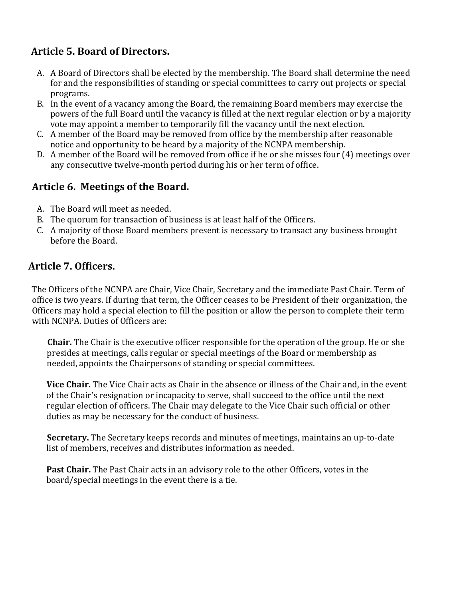## **Article 5. Board of Directors.**

- A. A Board of Directors shall be elected by the membership. The Board shall determine the need for and the responsibilities of standing or special committees to carry out projects or special programs.
- B. In the event of a vacancy among the Board, the remaining Board members may exercise the powers of the full Board until the vacancy is filled at the next regular election or by a majority vote may appoint a member to temporarily fill the vacancy until the next election.
- C. A member of the Board may be removed from office by the membership after reasonable notice and opportunity to be heard by a majority of the NCNPA membership.
- D. A member of the Board will be removed from office if he or she misses four (4) meetings over any consecutive twelve-month period during his or her term of office.

## **Article 6. Meetings of the Board.**

- A. The Board will meet as needed.
- B. The quorum for transaction of business is at least half of the Officers.
- C. A majority of those Board members present is necessary to transact any business brought before the Board.

## **Article 7. Officers.**

The Officers of the NCNPA are Chair, Vice Chair, Secretary and the immediate Past Chair. Term of office is two years. If during that term, the Officer ceases to be President of their organization, the Officers may hold a special election to fill the position or allow the person to complete their term with NCNPA. Duties of Officers are:

**Chair.** The Chair is the executive officer responsible for the operation of the group. He or she presides at meetings, calls regular or special meetings of the Board or membership as needed, appoints the Chairpersons of standing or special committees.

**Vice Chair.** The Vice Chair acts as Chair in the absence or illness of the Chair and, in the event of the Chair's resignation or incapacity to serve, shall succeed to the office until the next regular election of officers. The Chair may delegate to the Vice Chair such official or other duties as may be necessary for the conduct of business.

**Secretary.** The Secretary keeps records and minutes of meetings, maintains an up-to-date list of members, receives and distributes information as needed.

**Past Chair.** The Past Chair acts in an advisory role to the other Officers, votes in the board/special meetings in the event there is a tie.